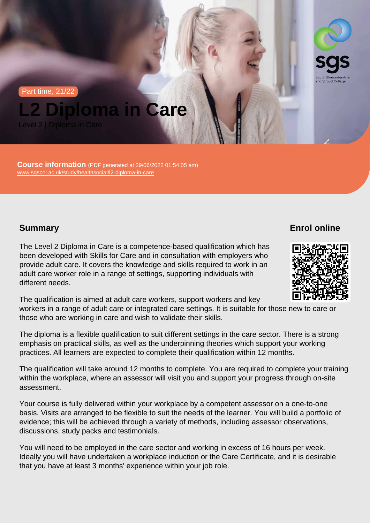Part time, 21/22

L2 Diploma in Care

Level 2 | Diploma in Care

Course information (PDF generated at 29/06/2022 01:54:05 am) [www.sgscol.ac.uk/study/healthsocial/l2-diploma-in-care](https://www.sgscol.ac.uk/study/healthsocial/l2-diploma-in-care)

**Summary** 

Enrol online

The Level 2 Diploma in Care is a competence-based qualification which has been developed with Skills for Care and in consultation with employers who provide adult care. It covers the knowledge and skills required to work in an adult care worker role in a range of settings, supporting individuals with different needs.

The qualification is aimed at adult care workers, support workers and key workers in a range of adult care or integrated care settings. It is suitable for those new to care or those who are working in care and wish to validate their skills.

The diploma is a flexible qualification to suit different settings in the care sector. There is a strong emphasis on practical skills, as well as the underpinning theories which support your working practices. All learners are expected to complete their qualification within 12 months.

The qualification will take around 12 months to complete. You are required to complete your training within the workplace, where an assessor will visit you and support your progress through on-site assessment.

Your course is fully delivered within your workplace by a competent assessor on a one-to-one basis. Visits are arranged to be flexible to suit the needs of the learner. You will build a portfolio of evidence; this will be achieved through a variety of methods, including assessor observations, discussions, study packs and testimonials.

You will need to be employed in the care sector and working in excess of 16 hours per week. Ideally you will have undertaken a workplace induction or the Care Certificate, and it is desirable that you have at least 3 months' experience within your job role.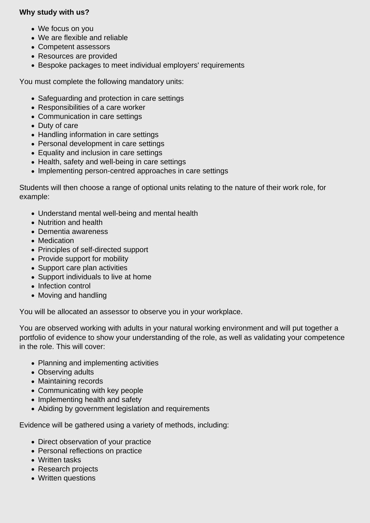### **Why study with us?**

- We focus on you
- We are flexible and reliable
- Competent assessors
- Resources are provided
- Bespoke packages to meet individual employers' requirements

You must complete the following mandatory units:

- Safeguarding and protection in care settings
- Responsibilities of a care worker
- Communication in care settings
- Duty of care
- Handling information in care settings
- Personal development in care settings
- Equality and inclusion in care settings
- Health, safety and well-being in care settings
- Implementing person-centred approaches in care settings

Students will then choose a range of optional units relating to the nature of their work role, for example:

- Understand mental well-being and mental health
- Nutrition and health
- Dementia awareness
- Medication
- Principles of self-directed support
- Provide support for mobility
- Support care plan activities
- Support individuals to live at home
- Infection control
- Moving and handling

You will be allocated an assessor to observe you in your workplace.

You are observed working with adults in your natural working environment and will put together a portfolio of evidence to show your understanding of the role, as well as validating your competence in the role. This will cover:

- Planning and implementing activities
- Observing adults
- Maintaining records
- Communicating with key people
- Implementing health and safety
- Abiding by government legislation and requirements

Evidence will be gathered using a variety of methods, including:

- Direct observation of your practice
- Personal reflections on practice
- Written tasks
- Research projects
- Written questions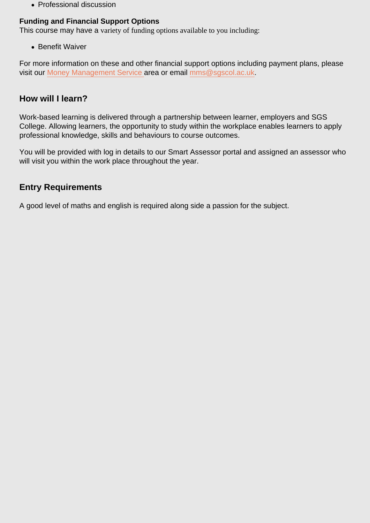• Professional discussion

### Funding and Financial Support Options

This course may have a variety of funding options available to you including:

**• Benefit Waiver** 

For more information on these and other financial support options including payment plans, please visit our [Money Management Service a](http://www.sgscol.ac.uk/mms)rea or email [mms@sgscol.ac.uk](mailto:mms@sgscol.ac.uk).

### How will I learn?

Work-based learning is delivered through a partnership between learner, employers and SGS College. Allowing learners, the opportunity to study within the workplace enables learners to apply professional knowledge, skills and behaviours to course outcomes.

You will be provided with log in details to our Smart Assessor portal and assigned an assessor who will visit you within the work place throughout the year.

# Entry Requirements

A good level of maths and english is required along side a passion for the subject.